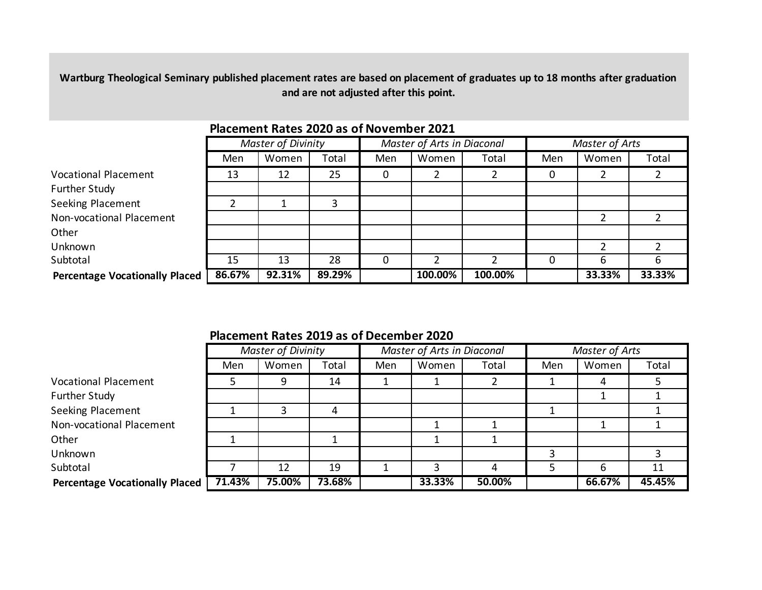**Wartburg Theological Seminary published placement rates are based on placement of graduates up to 18 months after graduation and are not adjusted after this point.** 

|                                       | <b>Master of Divinity</b> |        |        | Master of Arts in Diaconal |         |                | Master of Arts |        |        |  |  |
|---------------------------------------|---------------------------|--------|--------|----------------------------|---------|----------------|----------------|--------|--------|--|--|
|                                       | Men                       | Women  | Total  | Men                        | Women   | Total          | Men            | Women  | Total  |  |  |
| <b>Vocational Placement</b>           | 13                        | 12     | 25     | 0                          |         | $\overline{2}$ | 0              |        |        |  |  |
| Further Study                         |                           |        |        |                            |         |                |                |        |        |  |  |
| Seeking Placement                     |                           |        |        |                            |         |                |                |        |        |  |  |
| Non-vocational Placement              |                           |        |        |                            |         |                |                |        |        |  |  |
| Other                                 |                           |        |        |                            |         |                |                |        |        |  |  |
| Unknown                               |                           |        |        |                            |         |                |                |        |        |  |  |
| Subtotal                              | 15                        | 13     | 28     |                            |         | $\overline{2}$ |                | 6      | O      |  |  |
| <b>Percentage Vocationally Placed</b> | 86.67%                    | 92.31% | 89.29% |                            | 100.00% | 100.00%        |                | 33.33% | 33.33% |  |  |

# **Placement Rates 2020 as of November 2021**

| Placement Rates 2019 as of December 2020 |  |  |  |
|------------------------------------------|--|--|--|
|------------------------------------------|--|--|--|

|                                       |        | <b>Master of Divinity</b> |        |     | Master of Arts in Diaconal |        |     | Master of Arts |        |  |
|---------------------------------------|--------|---------------------------|--------|-----|----------------------------|--------|-----|----------------|--------|--|
|                                       | Men    | Women                     | Total  | Men | Women                      | Total  | Men | Women          | Total  |  |
| <b>Vocational Placement</b>           |        | q                         | 14     |     |                            |        |     | 4              |        |  |
| Further Study                         |        |                           |        |     |                            |        |     |                |        |  |
| Seeking Placement                     |        |                           | 4      |     |                            |        |     |                |        |  |
| Non-vocational Placement              |        |                           |        |     |                            |        |     |                |        |  |
| Other                                 |        |                           |        |     |                            |        |     |                |        |  |
| Unknown                               |        |                           |        |     |                            |        |     |                |        |  |
| Subtotal                              |        | 12                        | 19     |     |                            | 4      |     | 6              | 11     |  |
| <b>Percentage Vocationally Placed</b> | 71.43% | 75.00%                    | 73.68% |     | 33.33%                     | 50.00% |     | 66.67%         | 45.45% |  |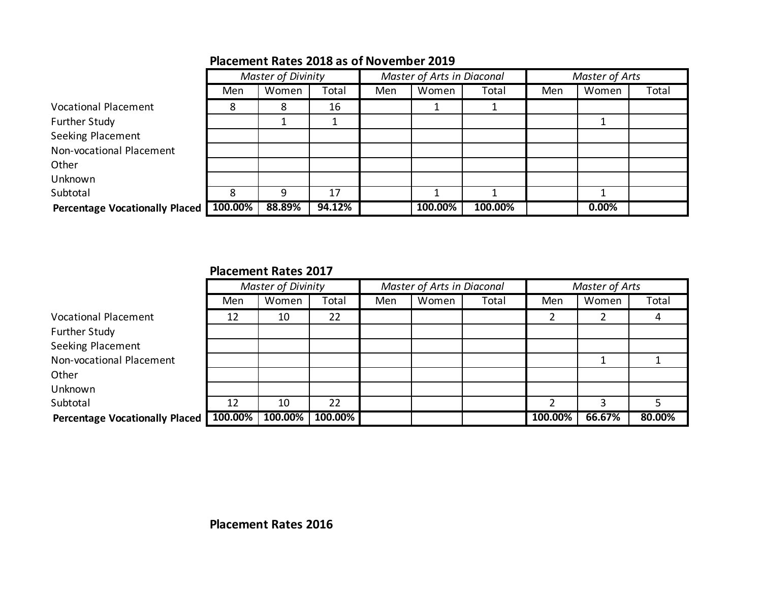|                                       |         | <b>Master of Divinity</b> |        |     | Master of Arts in Diaconal |         | Master of Arts |          |       |
|---------------------------------------|---------|---------------------------|--------|-----|----------------------------|---------|----------------|----------|-------|
|                                       | Men     | Women                     | Total  | Men | Women                      | Total   | Men            | Women    | Total |
| <b>Vocational Placement</b>           | 8       | 8                         | 16     |     |                            |         |                |          |       |
| Further Study                         |         |                           |        |     |                            |         |                |          |       |
| <b>Seeking Placement</b>              |         |                           |        |     |                            |         |                |          |       |
| Non-vocational Placement              |         |                           |        |     |                            |         |                |          |       |
| Other                                 |         |                           |        |     |                            |         |                |          |       |
| Unknown                               |         |                           |        |     |                            |         |                |          |       |
| Subtotal                              | 8       | 9                         | 17     |     |                            |         |                |          |       |
| <b>Percentage Vocationally Placed</b> | 100.00% | 88.89%                    | 94.12% |     | 100.00%                    | 100.00% |                | $0.00\%$ |       |

# **Placement Rates 2018 as of November 2019**

### **Placement Rates 2017**

|                                       |         | <b>Master of Divinity</b> |            |     | Master of Arts in Diaconal |       | Master of Arts |        |        |
|---------------------------------------|---------|---------------------------|------------|-----|----------------------------|-------|----------------|--------|--------|
|                                       | Men     | Women                     | Total      | Men | Women                      | Total | Men            | Women  | Total  |
| <b>Vocational Placement</b>           | 12      | 10                        | 22         |     |                            |       |                |        | 4      |
| Further Study                         |         |                           |            |     |                            |       |                |        |        |
| Seeking Placement                     |         |                           |            |     |                            |       |                |        |        |
| Non-vocational Placement              |         |                           |            |     |                            |       |                |        |        |
| Other                                 |         |                           |            |     |                            |       |                |        |        |
| Unknown                               |         |                           |            |     |                            |       |                |        |        |
| Subtotal                              | 12      | 10                        | 22         |     |                            |       |                |        |        |
| <b>Percentage Vocationally Placed</b> | 100.00% | 100.00%                   | $100.00\%$ |     |                            |       | 100.00%        | 66.67% | 80.00% |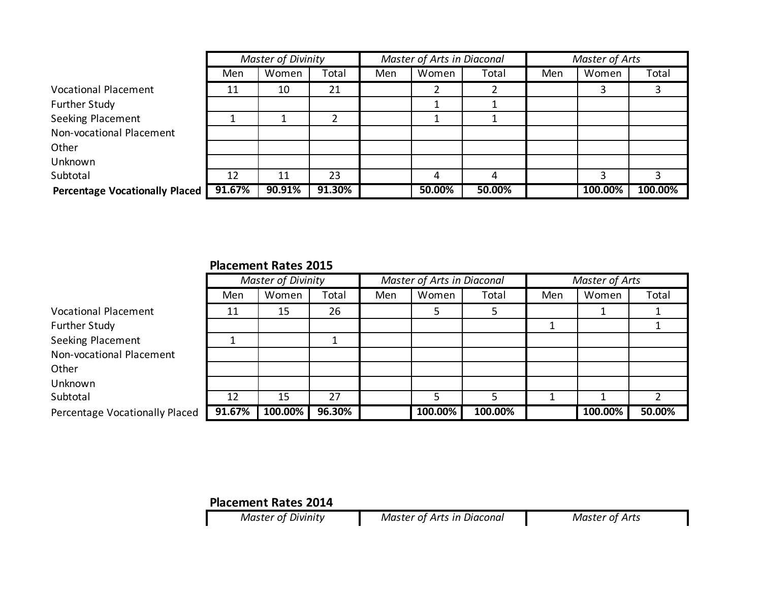|                                       |        | <b>Master of Divinity</b> |        |     | Master of Arts in Diaconal |        | Master of Arts |         |         |
|---------------------------------------|--------|---------------------------|--------|-----|----------------------------|--------|----------------|---------|---------|
|                                       | Men    | Women                     | Total  | Men | Women                      | Total  | Men            | Women   | Total   |
| <b>Vocational Placement</b>           | 11     | 10                        | 21     |     |                            |        |                |         |         |
| <b>Further Study</b>                  |        |                           |        |     |                            |        |                |         |         |
| <b>Seeking Placement</b>              |        |                           |        |     |                            |        |                |         |         |
| Non-vocational Placement              |        |                           |        |     |                            |        |                |         |         |
| Other                                 |        |                           |        |     |                            |        |                |         |         |
| Unknown                               |        |                           |        |     |                            |        |                |         |         |
| Subtotal                              | 12     | 11                        | 23     |     |                            |        |                |         |         |
| <b>Percentage Vocationally Placed</b> | 91.67% | 90.91%                    | 91.30% |     | 50.00%                     | 50.00% |                | 100.00% | 100.00% |

### **Placement Rates 2015**

|                                |        | <b>Master of Divinity</b> |        |     | Master of Arts in Diaconal |         |     | Master of Arts |        |  |
|--------------------------------|--------|---------------------------|--------|-----|----------------------------|---------|-----|----------------|--------|--|
|                                | Men    | Women                     | Total  | Men | Women                      | Total   | Men | Women          | Total  |  |
| <b>Vocational Placement</b>    | 11     | 15                        | 26     |     |                            |         |     |                |        |  |
| <b>Further Study</b>           |        |                           |        |     |                            |         |     |                |        |  |
| <b>Seeking Placement</b>       |        |                           |        |     |                            |         |     |                |        |  |
| Non-vocational Placement       |        |                           |        |     |                            |         |     |                |        |  |
| Other                          |        |                           |        |     |                            |         |     |                |        |  |
| Unknown                        |        |                           |        |     |                            |         |     |                |        |  |
| Subtotal                       | 12     | 15                        | 27     |     |                            |         |     |                |        |  |
| Percentage Vocationally Placed | 91.67% | 100.00%                   | 96.30% |     | 100.00%                    | 100.00% |     | 100.00%        | 50.00% |  |

# **Placement Rates 2014**<br>*Master of Divinity*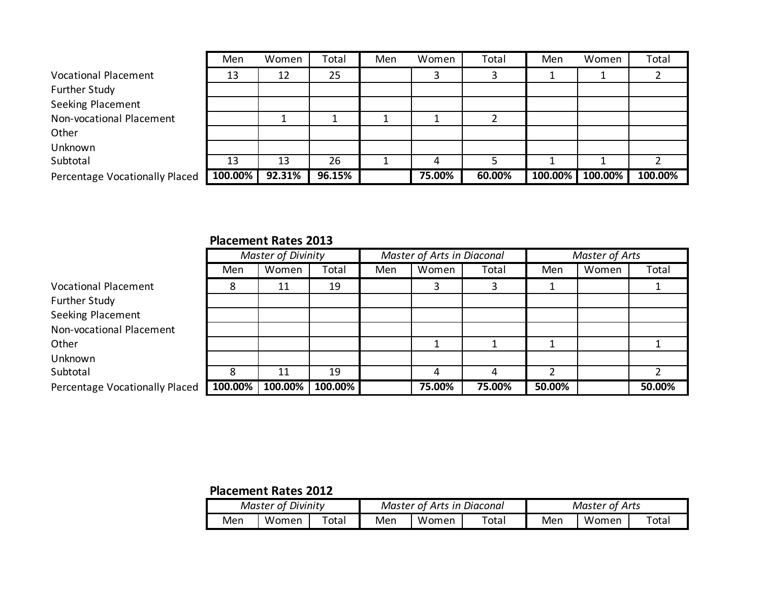|                                | Men     | Women  | Total  | Men | Women  | Total  | Men     | Women   | Total   |
|--------------------------------|---------|--------|--------|-----|--------|--------|---------|---------|---------|
| <b>Vocational Placement</b>    | 13      | 12     | 25     |     |        |        |         |         |         |
| <b>Further Study</b>           |         |        |        |     |        |        |         |         |         |
| Seeking Placement              |         |        |        |     |        |        |         |         |         |
| Non-vocational Placement       |         |        |        |     |        |        |         |         |         |
| Other                          |         |        |        |     |        |        |         |         |         |
| Unknown                        |         |        |        |     |        |        |         |         |         |
| Subtotal                       | 13      | 13     | 26     |     | 4      |        |         |         |         |
| Percentage Vocationally Placed | 100.00% | 92.31% | 96.15% |     | 75.00% | 60.00% | 100.00% | 100.00% | 100.00% |

#### **Placement Rates 2013**

|                                |         | <b>Master of Divinity</b> |         |     | Master of Arts in Diaconal |        | Master of Arts |       |        |
|--------------------------------|---------|---------------------------|---------|-----|----------------------------|--------|----------------|-------|--------|
|                                | Men     | Women                     | Total   | Men | Women                      | Total  | Men            | Women | Total  |
| <b>Vocational Placement</b>    | 8       | 11                        | 19      |     |                            | 3      |                |       |        |
| Further Study                  |         |                           |         |     |                            |        |                |       |        |
| Seeking Placement              |         |                           |         |     |                            |        |                |       |        |
| Non-vocational Placement       |         |                           |         |     |                            |        |                |       |        |
| Other                          |         |                           |         |     |                            |        |                |       |        |
| Unknown                        |         |                           |         |     |                            |        |                |       |        |
| Subtotal                       | 8       | 11                        | 19      |     |                            | 4      | ົາ             |       |        |
| Percentage Vocationally Placed | 100.00% | 100.00%                   | 100.00% |     | 75.00%                     | 75.00% | 50.00%         |       | 50.00% |

# **Placement Rates 2012**

|     | <sup>c</sup> Divinity<br>Master of |             |     | <b>Master of Arts in Diaconal</b> |             | Master of Arts |       |             |  |
|-----|------------------------------------|-------------|-----|-----------------------------------|-------------|----------------|-------|-------------|--|
| Men | Women                              | $\tau$ otal | Men | Women                             | $\tau$ otal | Men            | Women | $\tau$ otan |  |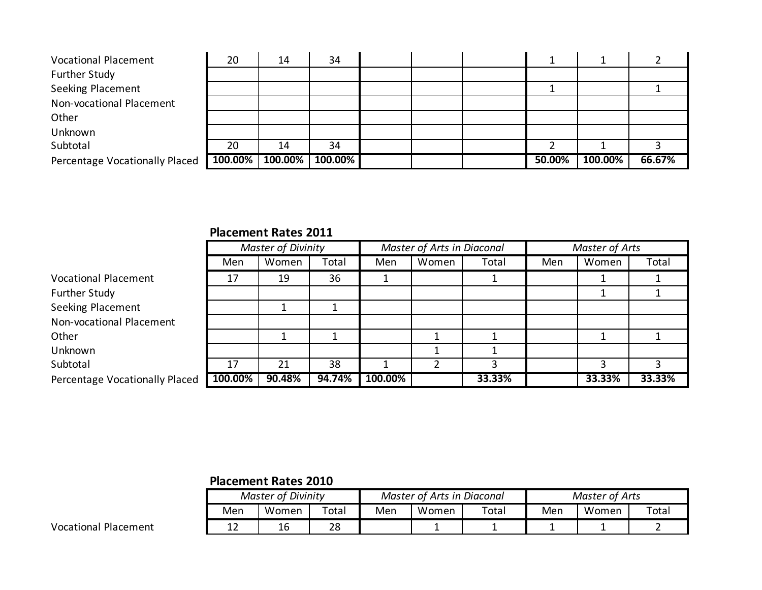| <b>Vocational Placement</b>    | 20      | 14      | 34      |  |        |         |        |
|--------------------------------|---------|---------|---------|--|--------|---------|--------|
| <b>Further Study</b>           |         |         |         |  |        |         |        |
| Seeking Placement              |         |         |         |  |        |         |        |
| Non-vocational Placement       |         |         |         |  |        |         |        |
| Other                          |         |         |         |  |        |         |        |
| Unknown                        |         |         |         |  |        |         |        |
| Subtotal                       | 20      | 14      | 34      |  |        |         |        |
| Percentage Vocationally Placed | 100.00% | 100.00% | 100.00% |  | 50.00% | 100.00% | 66.67% |

# **Placement Rates 2011**

|                                | <b>Master of Divinity</b> |        |        | Master of Arts in Diaconal |       |        | <b>Master of Arts</b> |        |        |
|--------------------------------|---------------------------|--------|--------|----------------------------|-------|--------|-----------------------|--------|--------|
|                                | Men                       | Women  | Total  | Men                        | Women | Total  | Men                   | Women  | Total  |
| <b>Vocational Placement</b>    | 17                        | 19     | 36     |                            |       |        |                       |        |        |
| <b>Further Study</b>           |                           |        |        |                            |       |        |                       |        |        |
| Seeking Placement              |                           |        |        |                            |       |        |                       |        |        |
| Non-vocational Placement       |                           |        |        |                            |       |        |                       |        |        |
| Other                          |                           |        |        |                            |       |        |                       |        |        |
| Unknown                        |                           |        |        |                            |       |        |                       |        |        |
| Subtotal                       | 17                        | 21     | 38     |                            |       |        |                       |        |        |
| Percentage Vocationally Placed | 100.00%                   | 90.48% | 94.74% | 100.00%                    |       | 33.33% |                       | 33.33% | 33.33% |

### **Placement Rates 2010**

| <b>Master of Divinity</b> |              |       |     | Master of Arts in Diaconal |       | Master of Arts |       |             |  |
|---------------------------|--------------|-------|-----|----------------------------|-------|----------------|-------|-------------|--|
| Men                       | Women        | Total | Men | Women                      | Total | Men            | Women | $\tau$ otal |  |
| . .<br>ᅩᄼ                 | $\sim$<br>1t | 28    |     |                            |       |                |       |             |  |

Vocational Placement